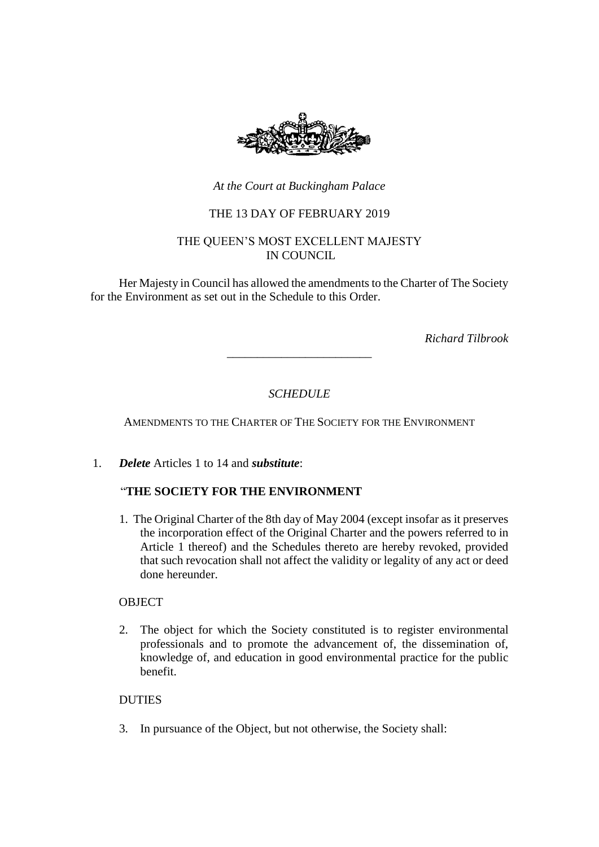

*At the Court at Buckingham Palace*

## THE 13 DAY OF FEBRUARY 2019

### THE QUEEN'S MOST EXCELLENT MAJESTY IN COUNCIL

Her Majesty in Council has allowed the amendments to the Charter of The Society for the Environment as set out in the Schedule to this Order.

*Richard Tilbrook*

# *SCHEDULE*

\_\_\_\_\_\_\_\_\_\_\_\_\_\_\_\_\_\_\_\_\_\_\_\_

AMENDMENTS TO THE CHARTER OF THE SOCIETY FOR THE ENVIRONMENT

1. *Delete* Articles 1 to 14 and *substitute*:

## "**THE SOCIETY FOR THE ENVIRONMENT**

1. The Original Charter of the 8th day of May 2004 (except insofar as it preserves the incorporation effect of the Original Charter and the powers referred to in Article 1 thereof) and the Schedules thereto are hereby revoked, provided that such revocation shall not affect the validity or legality of any act or deed done hereunder.

### **OBJECT**

2. The object for which the Society constituted is to register environmental professionals and to promote the advancement of, the dissemination of, knowledge of, and education in good environmental practice for the public benefit.

### **DUTIES**

3. In pursuance of the Object, but not otherwise, the Society shall: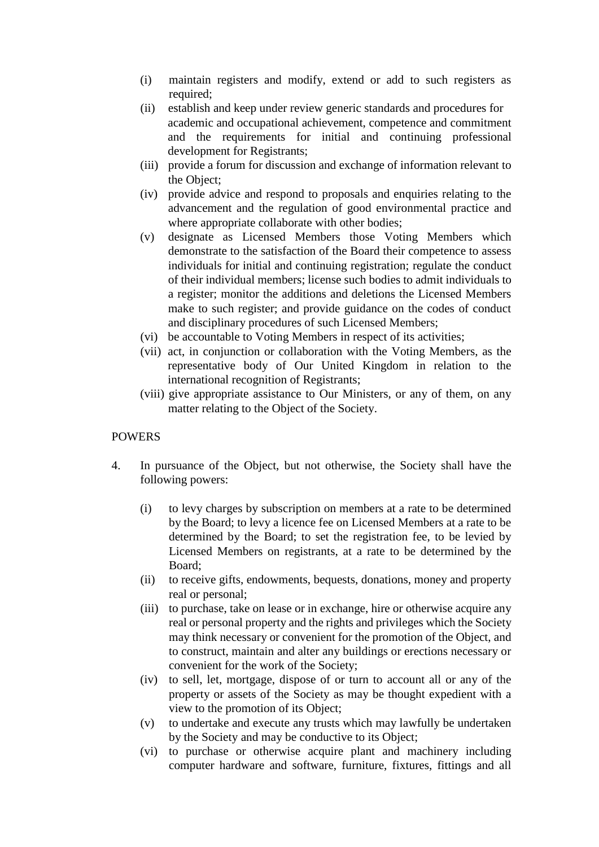- (i) maintain registers and modify, extend or add to such registers as required;
- (ii) establish and keep under review generic standards and procedures for academic and occupational achievement, competence and commitment and the requirements for initial and continuing professional development for Registrants;
- (iii) provide a forum for discussion and exchange of information relevant to the Object;
- (iv) provide advice and respond to proposals and enquiries relating to the advancement and the regulation of good environmental practice and where appropriate collaborate with other bodies;
- (v) designate as Licensed Members those Voting Members which demonstrate to the satisfaction of the Board their competence to assess individuals for initial and continuing registration; regulate the conduct of their individual members; license such bodies to admit individuals to a register; monitor the additions and deletions the Licensed Members make to such register; and provide guidance on the codes of conduct and disciplinary procedures of such Licensed Members;
- (vi) be accountable to Voting Members in respect of its activities;
- (vii) act, in conjunction or collaboration with the Voting Members, as the representative body of Our United Kingdom in relation to the international recognition of Registrants;
- (viii) give appropriate assistance to Our Ministers, or any of them, on any matter relating to the Object of the Society.

### POWERS

- 4. In pursuance of the Object, but not otherwise, the Society shall have the following powers:
	- (i) to levy charges by subscription on members at a rate to be determined by the Board; to levy a licence fee on Licensed Members at a rate to be determined by the Board; to set the registration fee, to be levied by Licensed Members on registrants, at a rate to be determined by the Board;
	- (ii) to receive gifts, endowments, bequests, donations, money and property real or personal;
	- (iii) to purchase, take on lease or in exchange, hire or otherwise acquire any real or personal property and the rights and privileges which the Society may think necessary or convenient for the promotion of the Object, and to construct, maintain and alter any buildings or erections necessary or convenient for the work of the Society;
	- (iv) to sell, let, mortgage, dispose of or turn to account all or any of the property or assets of the Society as may be thought expedient with a view to the promotion of its Object;
	- (v) to undertake and execute any trusts which may lawfully be undertaken by the Society and may be conductive to its Object;
	- (vi) to purchase or otherwise acquire plant and machinery including computer hardware and software, furniture, fixtures, fittings and all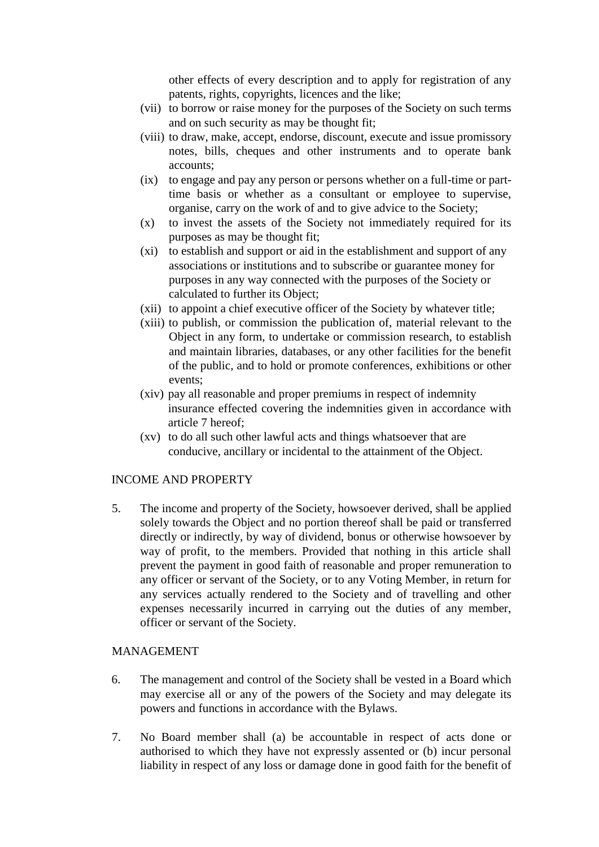other effects of every description and to apply for registration of any patents, rights, copyrights, licences and the like;

- (vii) to borrow or raise money for the purposes of the Society on such terms and on such security as may be thought fit;
- (viii) to draw, make, accept, endorse, discount, execute and issue promissory notes, bills, cheques and other instruments and to operate bank accounts;
- (ix) to engage and pay any person or persons whether on a full-time or parttime basis or whether as a consultant or employee to supervise, organise, carry on the work of and to give advice to the Society;
- (x) to invest the assets of the Society not immediately required for its purposes as may be thought fit;
- (xi) to establish and support or aid in the establishment and support of any associations or institutions and to subscribe or guarantee money for purposes in any way connected with the purposes of the Society or calculated to further its Object;
- (xii) to appoint a chief executive officer of the Society by whatever title;
- (xiii) to publish, or commission the publication of, material relevant to the Object in any form, to undertake or commission research, to establish and maintain libraries, databases, or any other facilities for the benefit of the public, and to hold or promote conferences, exhibitions or other events;
- (xiv) pay all reasonable and proper premiums in respect of indemnity insurance effected covering the indemnities given in accordance with article 7 hereof;
- (xv) to do all such other lawful acts and things whatsoever that are conducive, ancillary or incidental to the attainment of the Object.

### INCOME AND PROPERTY

5. The income and property of the Society, howsoever derived, shall be applied solely towards the Object and no portion thereof shall be paid or transferred directly or indirectly, by way of dividend, bonus or otherwise howsoever by way of profit, to the members. Provided that nothing in this article shall prevent the payment in good faith of reasonable and proper remuneration to any officer or servant of the Society, or to any Voting Member, in return for any services actually rendered to the Society and of travelling and other expenses necessarily incurred in carrying out the duties of any member, officer or servant of the Society.

#### MANAGEMENT

- 6. The management and control of the Society shall be vested in a Board which may exercise all or any of the powers of the Society and may delegate its powers and functions in accordance with the Bylaws.
- 7. No Board member shall (a) be accountable in respect of acts done or authorised to which they have not expressly assented or (b) incur personal liability in respect of any loss or damage done in good faith for the benefit of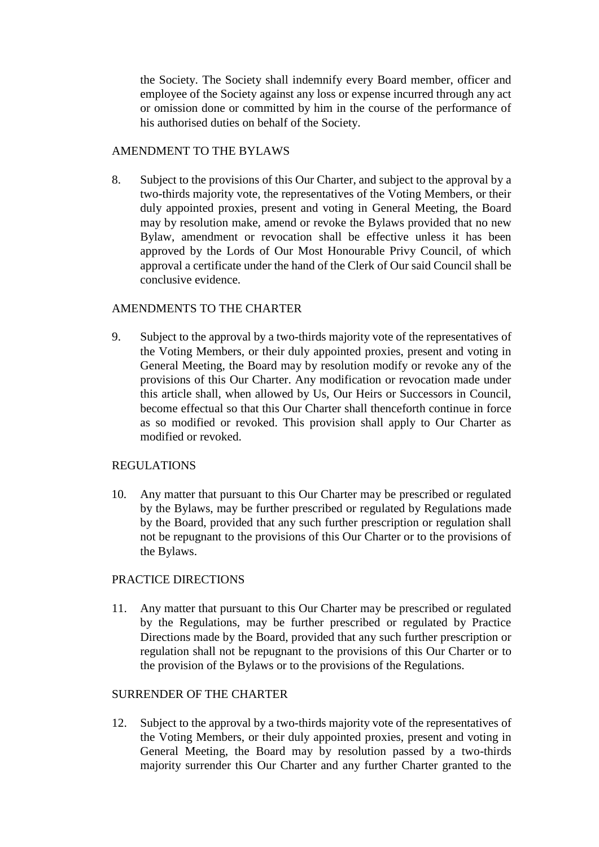the Society. The Society shall indemnify every Board member, officer and employee of the Society against any loss or expense incurred through any act or omission done or committed by him in the course of the performance of his authorised duties on behalf of the Society.

## AMENDMENT TO THE BYLAWS

8. Subject to the provisions of this Our Charter, and subject to the approval by a two-thirds majority vote, the representatives of the Voting Members, or their duly appointed proxies, present and voting in General Meeting, the Board may by resolution make, amend or revoke the Bylaws provided that no new Bylaw, amendment or revocation shall be effective unless it has been approved by the Lords of Our Most Honourable Privy Council, of which approval a certificate under the hand of the Clerk of Our said Council shall be conclusive evidence.

## AMENDMENTS TO THE CHARTER

9. Subject to the approval by a two-thirds majority vote of the representatives of the Voting Members, or their duly appointed proxies, present and voting in General Meeting, the Board may by resolution modify or revoke any of the provisions of this Our Charter. Any modification or revocation made under this article shall, when allowed by Us, Our Heirs or Successors in Council, become effectual so that this Our Charter shall thenceforth continue in force as so modified or revoked. This provision shall apply to Our Charter as modified or revoked.

## REGULATIONS

10. Any matter that pursuant to this Our Charter may be prescribed or regulated by the Bylaws, may be further prescribed or regulated by Regulations made by the Board, provided that any such further prescription or regulation shall not be repugnant to the provisions of this Our Charter or to the provisions of the Bylaws.

## PRACTICE DIRECTIONS

11. Any matter that pursuant to this Our Charter may be prescribed or regulated by the Regulations, may be further prescribed or regulated by Practice Directions made by the Board, provided that any such further prescription or regulation shall not be repugnant to the provisions of this Our Charter or to the provision of the Bylaws or to the provisions of the Regulations.

## SURRENDER OF THE CHARTER

12. Subject to the approval by a two-thirds majority vote of the representatives of the Voting Members, or their duly appointed proxies, present and voting in General Meeting, the Board may by resolution passed by a two-thirds majority surrender this Our Charter and any further Charter granted to the